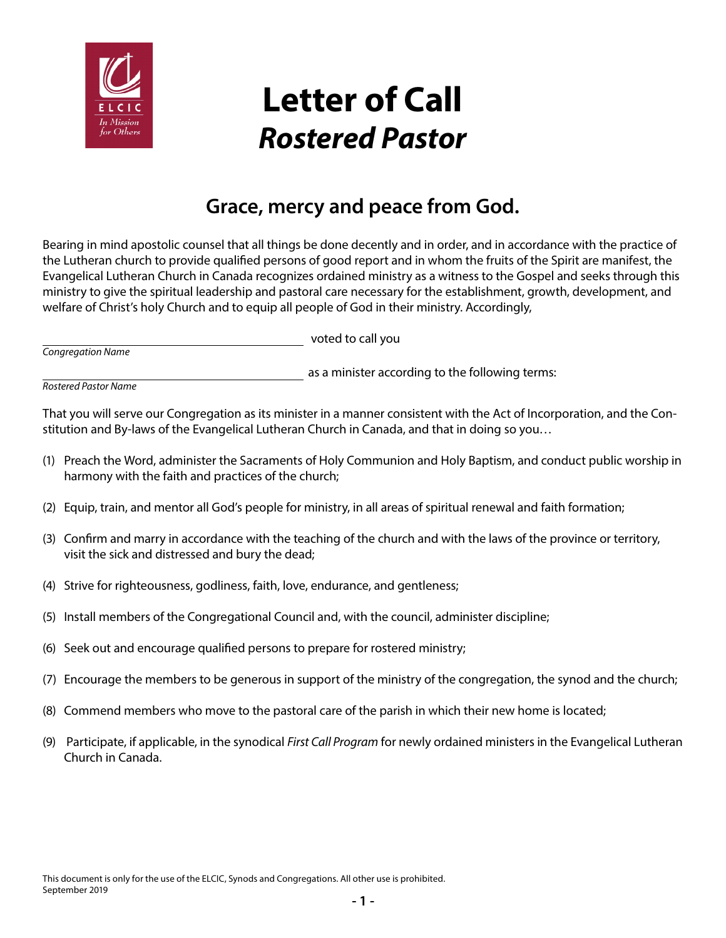

## **Letter of Call** *Rostered Pastor*

## **Grace, mercy and peace from God.**

Bearing in mind apostolic counsel that all things be done decently and in order, and in accordance with the practice of the Lutheran church to provide qualified persons of good report and in whom the fruits of the Spirit are manifest, the Evangelical Lutheran Church in Canada recognizes ordained ministry as a witness to the Gospel and seeks through this ministry to give the spiritual leadership and pastoral care necessary for the establishment, growth, development, and welfare of Christ's holy Church and to equip all people of God in their ministry. Accordingly,

|                   | voted to call you |
|-------------------|-------------------|
| Congregation Name |                   |

as a minister according to the following terms:

*Rostered Pastor Name*

That you will serve our Congregation as its minister in a manner consistent with the Act of Incorporation, and the Constitution and By-laws of the Evangelical Lutheran Church in Canada, and that in doing so you…

- (1) Preach the Word, administer the Sacraments of Holy Communion and Holy Baptism, and conduct public worship in harmony with the faith and practices of the church;
- (2) Equip, train, and mentor all God's people for ministry, in all areas of spiritual renewal and faith formation;
- (3) Confirm and marry in accordance with the teaching of the church and with the laws of the province or territory, visit the sick and distressed and bury the dead;
- (4) Strive for righteousness, godliness, faith, love, endurance, and gentleness;
- (5) Install members of the Congregational Council and, with the council, administer discipline;
- (6) Seek out and encourage qualified persons to prepare for rostered ministry;
- (7) Encourage the members to be generous in support of the ministry of the congregation, the synod and the church;
- (8) Commend members who move to the pastoral care of the parish in which their new home is located;
- (9) Participate, if applicable, in the synodical *First Call Program* for newly ordained ministers in the Evangelical Lutheran Church in Canada.